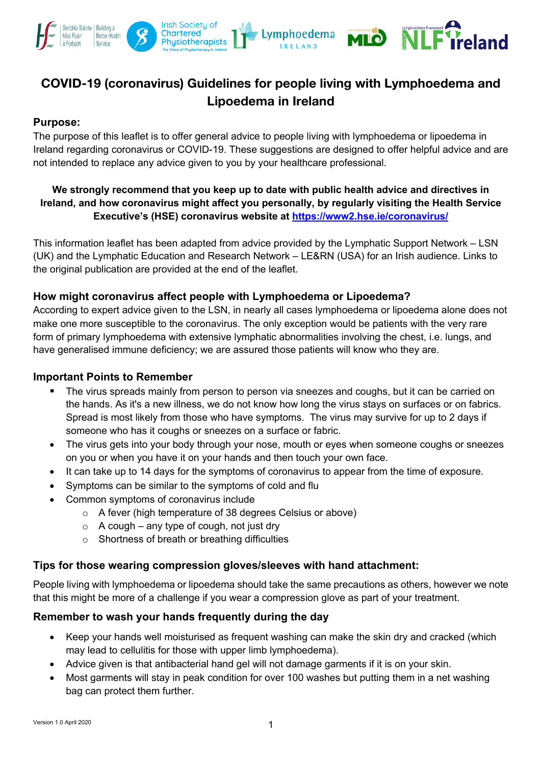

# **COVID-19 (coronavirus) Guidelines for people living with Lymphoedema and Lipoedema in Ireland**

# **Purpose:**

The purpose of this leaflet is to offer general advice to people living with lymphoedema or lipoedema in Ireland regarding coronavirus or COVID-19. These suggestions are designed to offer helpful advice and are not intended to replace any advice given to you by your healthcare professional.

# **We strongly recommend that you keep up to date with public health advice and directives in Ireland, and how coronavirus might affect you personally, by regularly visiting the Health Service Executive's (HSE) coronavirus website at https://www2.hse.ie/coronavirus/**

This information leaflet has been adapted from advice provided by the Lymphatic Support Network – LSN (UK) and the Lymphatic Education and Research Network – LE&RN (USA) for an Irish audience. Links to the original publication are provided at the end of the leaflet.

# **How might coronavirus affect people with Lymphoedema or Lipoedema?**

According to expert advice given to the LSN, in nearly all cases lymphoedema or lipoedema alone does not make one more susceptible to the coronavirus. The only exception would be patients with the very rare form of primary lymphoedema with extensive lymphatic abnormalities involving the chest, i.e. lungs, and have generalised immune deficiency; we are assured those patients will know who they are.

## **Important Points to Remember**

- The virus spreads mainly from person to person via sneezes and coughs, but it can be carried on the hands. As it's a new illness, we do not know how long the virus stays on surfaces or on fabrics. Spread is most likely from those who have symptoms. The virus may survive for up to 2 days if someone who has it coughs or sneezes on a surface or fabric.
- The virus gets into your body through your nose, mouth or eyes when someone coughs or sneezes on you or when you have it on your hands and then touch your own face.
- It can take up to 14 days for the symptoms of coronavirus to appear from the time of exposure.
- Symptoms can be similar to the symptoms of cold and flu
- Common symptoms of coronavirus include
	- o A fever (high temperature of 38 degrees Celsius or above)
	- $\circ$  A cough any type of cough, not just dry
	- o Shortness of breath or breathing difficulties

## **Tips for those wearing compression gloves/sleeves with hand attachment:**

People living with lymphoedema or lipoedema should take the same precautions as others, however we note that this might be more of a challenge if you wear a compression glove as part of your treatment.

## **Remember to wash your hands frequently during the day**

- Keep your hands well moisturised as frequent washing can make the skin dry and cracked (which may lead to cellulitis for those with upper limb lymphoedema).
- Advice given is that antibacterial hand gel will not damage garments if it is on your skin.
- Most garments will stay in peak condition for over 100 washes but putting them in a net washing bag can protect them further.